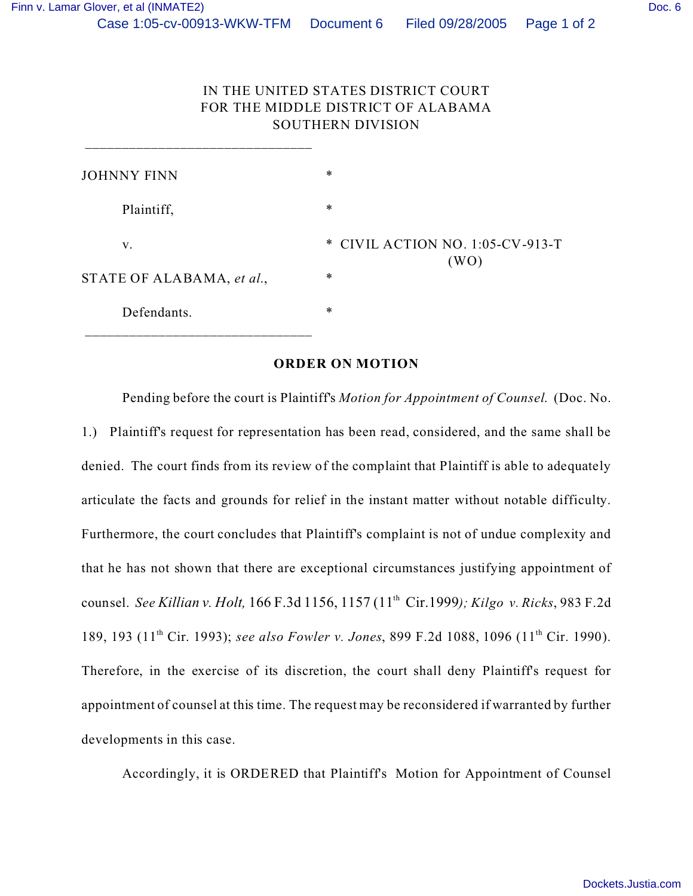\_\_\_\_\_\_\_\_\_\_\_\_\_\_\_\_\_\_\_\_\_\_\_\_\_\_\_\_\_\_\_

## IN THE UNITED STATES DISTRICT COURT FOR THE MIDDLE DISTRICT OF ALABAMA SOUTHERN DIVISION

| ∗                                |
|----------------------------------|
| ∗                                |
| * CIVIL ACTION NO. 1:05-CV-913-T |
| (WO)<br>∗                        |
| ∗                                |
|                                  |

## **ORDER ON MOTION**

Pending before the court is Plaintiff's *Motion for Appointment of Counsel*. (Doc. No. 1.) Plaintiff's request for representation has been read, considered, and the same shall be denied. The court finds from its review of the complaint that Plaintiff is able to adequately articulate the facts and grounds for relief in the instant matter without notable difficulty. Furthermore, the court concludes that Plaintiff's complaint is not of undue complexity and that he has not shown that there are exceptional circumstances justifying appointment of counsel. *See Killian v. Holt,* 166 F.3d 1156, 1157 (11th Cir.1999*); Kilgo v. Ricks*, 983 F.2d 189, 193 (11th Cir. 1993); *see also Fowler v. Jones*, 899 F.2d 1088, 1096 (11th Cir. 1990). Therefore, in the exercise of its discretion, the court shall deny Plaintiff's request for appointment of counsel at this time. The request may be reconsidered if warranted by further developments in this case.

Accordingly, it is ORDERED that Plaintiff's Motion for Appointment of Counsel